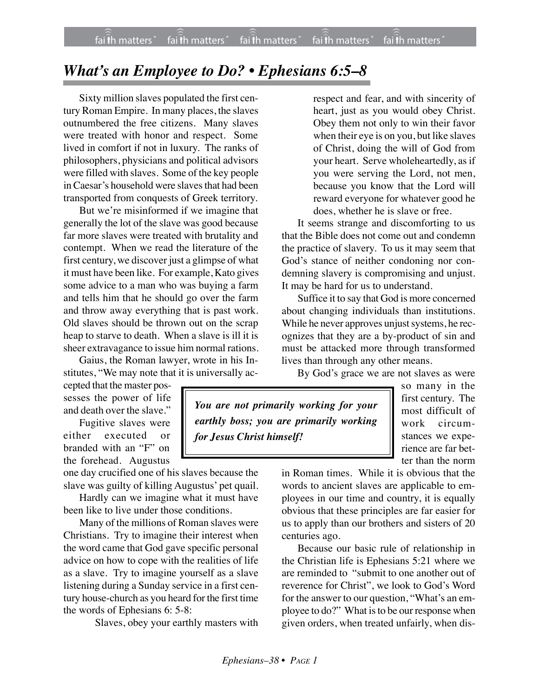## *What's an Employee to Do? • Ephesians 6:5–8*

Sixty million slaves populated the first century Roman Empire. In many places, the slaves outnumbered the free citizens. Many slaves were treated with honor and respect. Some lived in comfort if not in luxury. The ranks of philosophers, physicians and political advisors were filled with slaves. Some of the key people in Caesar's household were slaves that had been transported from conquests of Greek territory.

But we're misinformed if we imagine that generally the lot of the slave was good because far more slaves were treated with brutality and contempt. When we read the literature of the first century, we discover just a glimpse of what it must have been like. For example, Kato gives some advice to a man who was buying a farm and tells him that he should go over the farm and throw away everything that is past work. Old slaves should be thrown out on the scrap heap to starve to death. When a slave is ill it is sheer extravagance to issue him normal rations.

Gaius, the Roman lawyer, wrote in his Institutes, "We may note that it is universally ac-

cepted that the master possesses the power of life and death over the slave."

Fugitive slaves were either executed or branded with an "F" on the forehead. Augustus

one day crucified one of his slaves because the slave was guilty of killing Augustus' pet quail.

Hardly can we imagine what it must have been like to live under those conditions.

Many of the millions of Roman slaves were Christians. Try to imagine their interest when the word came that God gave specific personal advice on how to cope with the realities of life as a slave. Try to imagine yourself as a slave listening during a Sunday service in a first century house-church as you heard for the first time the words of Ephesians 6: 5-8:

Slaves, obey your earthly masters with

respect and fear, and with sincerity of heart, just as you would obey Christ. Obey them not only to win their favor when their eye is on you, but like slaves of Christ, doing the will of God from your heart. Serve wholeheartedly, as if you were serving the Lord, not men, because you know that the Lord will reward everyone for whatever good he does, whether he is slave or free.

It seems strange and discomforting to us that the Bible does not come out and condemn the practice of slavery. To us it may seem that God's stance of neither condoning nor condemning slavery is compromising and unjust. It may be hard for us to understand.

Suffice it to say that God is more concerned about changing individuals than institutions. While he never approves unjust systems, he recognizes that they are a by-product of sin and must be attacked more through transformed lives than through any other means.

By God's grace we are not slaves as were

*You are not primarily working for your earthly boss; you are primarily working for Jesus Christ himself!*

so many in the first century. The most difficult of work circumstances we experience are far better than the norm

in Roman times. While it is obvious that the words to ancient slaves are applicable to employees in our time and country, it is equally obvious that these principles are far easier for us to apply than our brothers and sisters of 20 centuries ago.

Because our basic rule of relationship in the Christian life is Ephesians 5:21 where we are reminded to "submit to one another out of reverence for Christ", we look to God's Word for the answer to our question, "What's an employee to do?" What is to be our response when given orders, when treated unfairly, when dis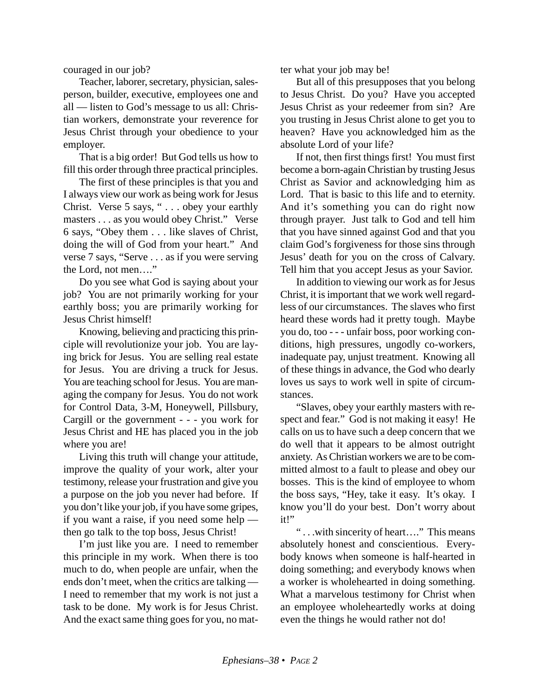couraged in our job?

Teacher, laborer, secretary, physician, salesperson, builder, executive, employees one and all — listen to God's message to us all: Christian workers, demonstrate your reverence for Jesus Christ through your obedience to your employer.

That is a big order! But God tells us how to fill this order through three practical principles.

The first of these principles is that you and I always view our work as being work for Jesus Christ. Verse 5 says, " . . . obey your earthly masters . . . as you would obey Christ." Verse 6 says, "Obey them . . . like slaves of Christ, doing the will of God from your heart." And verse 7 says, "Serve . . . as if you were serving the Lord, not men…."

Do you see what God is saying about your job? You are not primarily working for your earthly boss; you are primarily working for Jesus Christ himself!

Knowing, believing and practicing this principle will revolutionize your job. You are laying brick for Jesus. You are selling real estate for Jesus. You are driving a truck for Jesus. You are teaching school for Jesus. You are managing the company for Jesus. You do not work for Control Data, 3-M, Honeywell, Pillsbury, Cargill or the government - - - you work for Jesus Christ and HE has placed you in the job where you are!

Living this truth will change your attitude, improve the quality of your work, alter your testimony, release your frustration and give you a purpose on the job you never had before. If you don't like your job, if you have some gripes, if you want a raise, if you need some help then go talk to the top boss, Jesus Christ!

I'm just like you are. I need to remember this principle in my work. When there is too much to do, when people are unfair, when the ends don't meet, when the critics are talking — I need to remember that my work is not just a task to be done. My work is for Jesus Christ. And the exact same thing goes for you, no matter what your job may be!

But all of this presupposes that you belong to Jesus Christ. Do you? Have you accepted Jesus Christ as your redeemer from sin? Are you trusting in Jesus Christ alone to get you to heaven? Have you acknowledged him as the absolute Lord of your life?

If not, then first things first! You must first become a born-again Christian by trusting Jesus Christ as Savior and acknowledging him as Lord. That is basic to this life and to eternity. And it's something you can do right now through prayer. Just talk to God and tell him that you have sinned against God and that you claim God's forgiveness for those sins through Jesus' death for you on the cross of Calvary. Tell him that you accept Jesus as your Savior.

In addition to viewing our work as for Jesus Christ, it is important that we work well regardless of our circumstances. The slaves who first heard these words had it pretty tough. Maybe you do, too - - - unfair boss, poor working conditions, high pressures, ungodly co-workers, inadequate pay, unjust treatment. Knowing all of these things in advance, the God who dearly loves us says to work well in spite of circumstances.

"Slaves, obey your earthly masters with respect and fear." God is not making it easy! He calls on us to have such a deep concern that we do well that it appears to be almost outright anxiety. As Christian workers we are to be committed almost to a fault to please and obey our bosses. This is the kind of employee to whom the boss says, "Hey, take it easy. It's okay. I know you'll do your best. Don't worry about it!"

" . . .with sincerity of heart…." This means absolutely honest and conscientious. Everybody knows when someone is half-hearted in doing something; and everybody knows when a worker is wholehearted in doing something. What a marvelous testimony for Christ when an employee wholeheartedly works at doing even the things he would rather not do!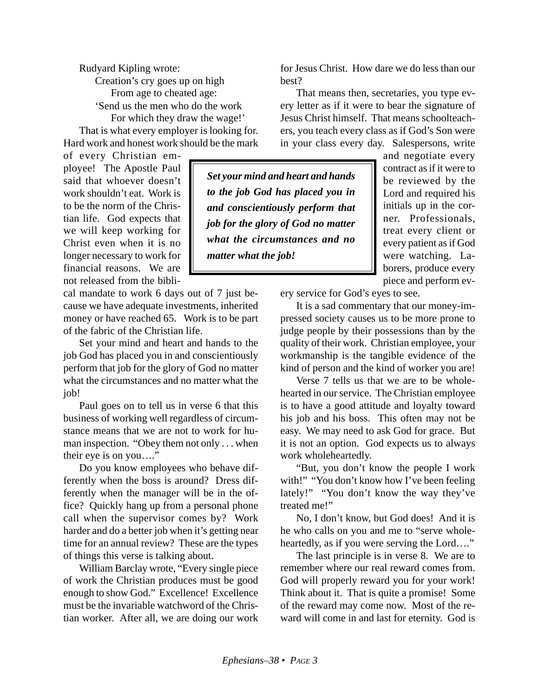Rudyard Kipling wrote: Creation's cry goes up on high From age to cheated age: 'Send us the men who do the work For which they draw the wage!' That is what every employer is looking for.

Hard work and honest work should be the mark

of every Christian employee! The Apostle Paul said that whoever doesn't work shouldn't eat. Work is to be the norm of the Christian life. God expects that we will keep working for Christ even when it is no longer necessary to work for financial reasons. We are not released from the bibli-

cal mandate to work 6 days out of 7 just because we have adequate investments, inherited money or have reached 65. Work is to be part of the fabric of the Christian life.

Set your mind and heart and hands to the job God has placed you in and conscientiously perform that job for the glory of God no matter what the circumstances and no matter what the job!

Paul goes on to tell us in verse 6 that this business of working well regardless of circumstance means that we are not to work for human inspection. "Obey them not only . . . when their eye is on you…."

Do you know employees who behave differently when the boss is around? Dress differently when the manager will be in the office? Quickly hang up from a personal phone call when the supervisor comes by? Work harder and do a better job when it's getting near time for an annual review? These are the types of things this verse is talking about.

William Barclay wrote, "Every single piece of work the Christian produces must be good enough to show God." Excellence! Excellence must be the invariable watchword of the Christian worker. After all, we are doing our work for Jesus Christ. How dare we do less than our best?

That means then, secretaries, you type every letter as if it were to bear the signature of Jesus Christ himself. That means schoolteachers, you teach every class as if God's Son were in your class every day. Salespersons, write

*Set your mind and heart and hands to the job God has placed you in and conscientiously perform that job for the glory of God no matter what the circumstances and no matter what the job!*

and negotiate every contract as if it were to be reviewed by the Lord and required his initials up in the corner. Professionals, treat every client or every patient as if God were watching. Laborers, produce every piece and perform ev-

ery service for God's eyes to see.

It is a sad commentary that our money-impressed society causes us to be more prone to judge people by their possessions than by the quality of their work. Christian employee, your workmanship is the tangible evidence of the kind of person and the kind of worker you are!

Verse 7 tells us that we are to be wholehearted in our service. The Christian employee is to have a good attitude and loyalty toward his job and his boss. This often may not be easy. We may need to ask God for grace. But it is not an option. God expects us to always work wholeheartedly.

"But, you don't know the people I work with!" "You don't know how I've been feeling lately!" "You don't know the way they've treated me!"

No, I don't know, but God does! And it is he who calls on you and me to "serve wholeheartedly, as if you were serving the Lord…."

The last principle is in verse 8. We are to remember where our real reward comes from. God will properly reward you for your work! Think about it. That is quite a promise! Some of the reward may come now. Most of the reward will come in and last for eternity. God is